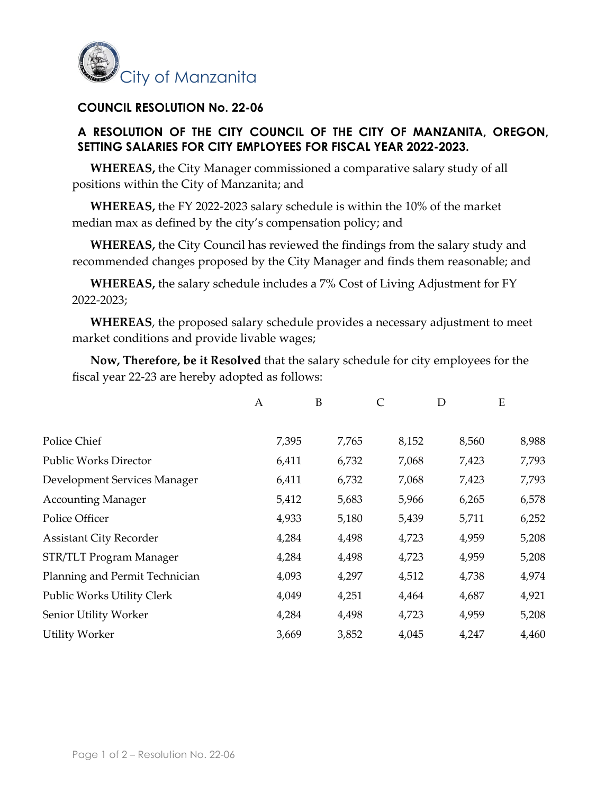

## **COUNCIL RESOLUTION No. 22-06**

## **A RESOLUTION OF THE CITY COUNCIL OF THE CITY OF MANZANITA, OREGON, SETTING SALARIES FOR CITY EMPLOYEES FOR FISCAL YEAR 2022-2023.**

**WHEREAS,** the City Manager commissioned a comparative salary study of all positions within the City of Manzanita; and

**WHEREAS,** the FY 2022-2023 salary schedule is within the 10% of the market median max as defined by the city's compensation policy; and

**WHEREAS,** the City Council has reviewed the findings from the salary study and recommended changes proposed by the City Manager and finds them reasonable; and

**WHEREAS,** the salary schedule includes a 7% Cost of Living Adjustment for FY 2022-2023;

**WHEREAS**, the proposed salary schedule provides a necessary adjustment to meet market conditions and provide livable wages;

**Now, Therefore, be it Resolved** that the salary schedule for city employees for the fiscal year 22-23 are hereby adopted as follows:

|                                | A     | B     | C     | D     | E     |
|--------------------------------|-------|-------|-------|-------|-------|
|                                |       |       |       |       |       |
| Police Chief                   | 7,395 | 7,765 | 8,152 | 8,560 | 8,988 |
| <b>Public Works Director</b>   | 6,411 | 6,732 | 7,068 | 7,423 | 7,793 |
| Development Services Manager   | 6,411 | 6,732 | 7,068 | 7,423 | 7,793 |
| <b>Accounting Manager</b>      | 5,412 | 5,683 | 5,966 | 6,265 | 6,578 |
| Police Officer                 | 4,933 | 5,180 | 5,439 | 5,711 | 6,252 |
| <b>Assistant City Recorder</b> | 4,284 | 4,498 | 4,723 | 4,959 | 5,208 |
| STR/TLT Program Manager        | 4,284 | 4,498 | 4,723 | 4,959 | 5,208 |
| Planning and Permit Technician | 4,093 | 4,297 | 4,512 | 4,738 | 4,974 |
| Public Works Utility Clerk     | 4,049 | 4,251 | 4,464 | 4,687 | 4,921 |
| Senior Utility Worker          | 4,284 | 4,498 | 4,723 | 4,959 | 5,208 |
| <b>Utility Worker</b>          | 3,669 | 3,852 | 4,045 | 4,247 | 4,460 |